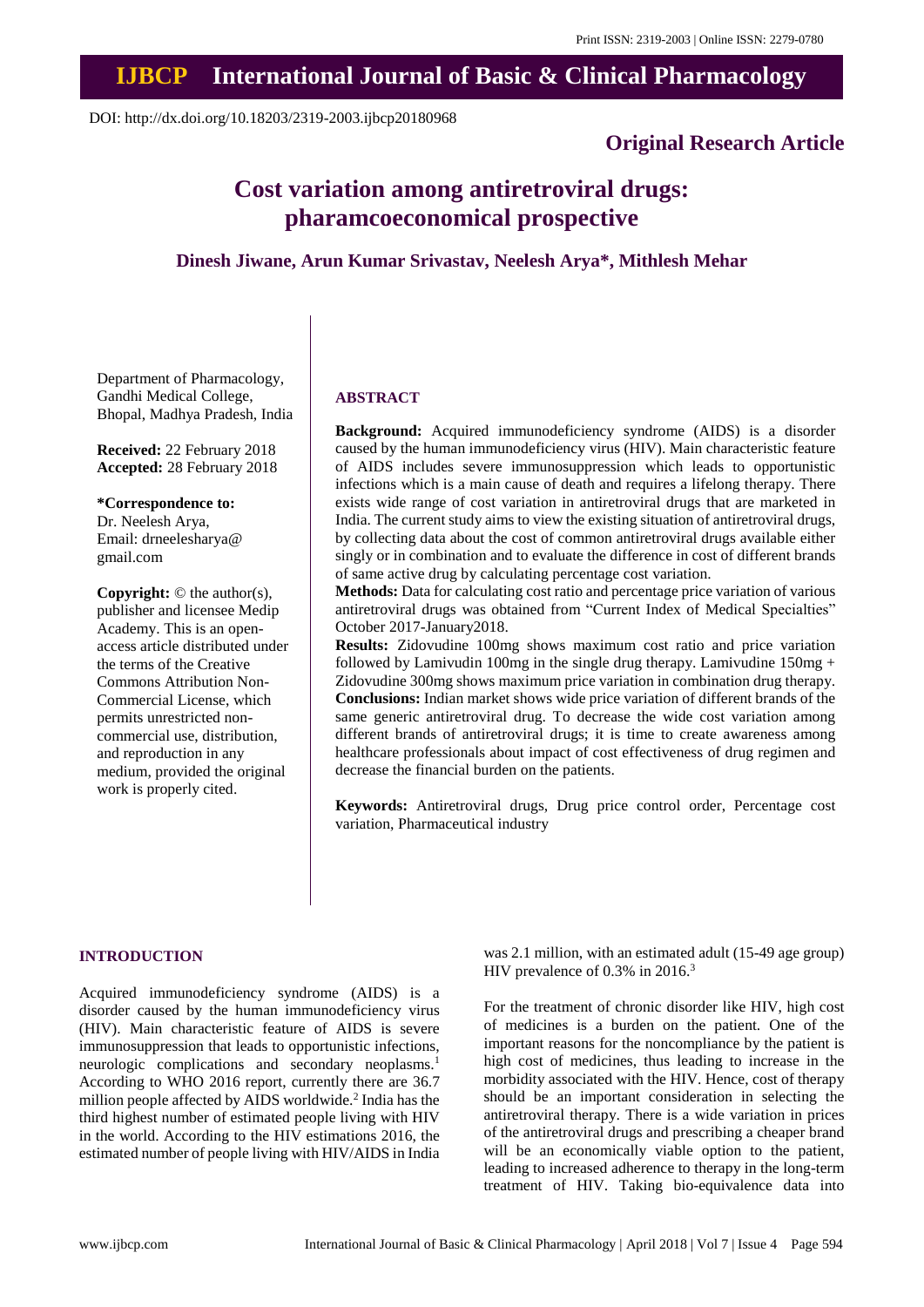# **IJBCP International Journal of Basic & Clinical Pharmacology**

DOI: http://dx.doi.org/10.18203/2319-2003.ijbcp20180968

### **Original Research Article**

## **Cost variation among antiretroviral drugs: pharamcoeconomical prospective**

**Dinesh Jiwane, Arun Kumar Srivastav, Neelesh Arya\*, Mithlesh Mehar**

Department of Pharmacology, Gandhi Medical College, Bhopal, Madhya Pradesh, India

**Received:** 22 February 2018 **Accepted:** 28 February 2018

#### **\*Correspondence to:**

Dr. Neelesh Arya, Email: drneelesharya@ gmail.com

**Copyright:** © the author(s), publisher and licensee Medip Academy. This is an openaccess article distributed under the terms of the Creative Commons Attribution Non-Commercial License, which permits unrestricted noncommercial use, distribution, and reproduction in any medium, provided the original work is properly cited.

#### **ABSTRACT**

**Background:** Acquired immunodeficiency syndrome (AIDS) is a disorder caused by the human immunodeficiency virus (HIV). Main characteristic feature of AIDS includes severe immunosuppression which leads to opportunistic infections which is a main cause of death and requires a lifelong therapy. There exists wide range of cost variation in antiretroviral drugs that are marketed in India. The current study aims to view the existing situation of antiretroviral drugs, by collecting data about the cost of common antiretroviral drugs available either singly or in combination and to evaluate the difference in cost of different brands of same active drug by calculating percentage cost variation.

**Methods:** Data for calculating cost ratio and percentage price variation of various antiretroviral drugs was obtained from "Current Index of Medical Specialties" October 2017-January2018.

**Results:** Zidovudine 100mg shows maximum cost ratio and price variation followed by Lamivudin 100mg in the single drug therapy. Lamivudine 150mg + Zidovudine 300mg shows maximum price variation in combination drug therapy. **Conclusions:** Indian market shows wide price variation of different brands of the same generic antiretroviral drug. To decrease the wide cost variation among different brands of antiretroviral drugs; it is time to create awareness among healthcare professionals about impact of cost effectiveness of drug regimen and decrease the financial burden on the patients.

**Keywords:** Antiretroviral drugs, Drug price control order, Percentage cost variation, Pharmaceutical industry

#### **INTRODUCTION**

Acquired immunodeficiency syndrome (AIDS) is a disorder caused by the human immunodeficiency virus (HIV). Main characteristic feature of AIDS is severe immunosuppression that leads to opportunistic infections, neurologic complications and secondary neoplasms.<sup>1</sup> According to WHO 2016 report, currently there are 36.7 million people affected by AIDS worldwide.<sup>2</sup> India has the third highest number of estimated people living with HIV in the world. According to the HIV estimations 2016, the estimated number of people living with HIV/AIDS in India was 2.1 million, with an estimated adult (15-49 age group) HIV prevalence of 0.3% in 2016.<sup>3</sup>

For the treatment of chronic disorder like HIV, high cost of medicines is a burden on the patient. One of the important reasons for the noncompliance by the patient is high cost of medicines, thus leading to increase in the morbidity associated with the HIV. Hence, cost of therapy should be an important consideration in selecting the antiretroviral therapy. There is a wide variation in prices of the antiretroviral drugs and prescribing a cheaper brand will be an economically viable option to the patient, leading to increased adherence to therapy in the long-term treatment of HIV. Taking bio-equivalence data into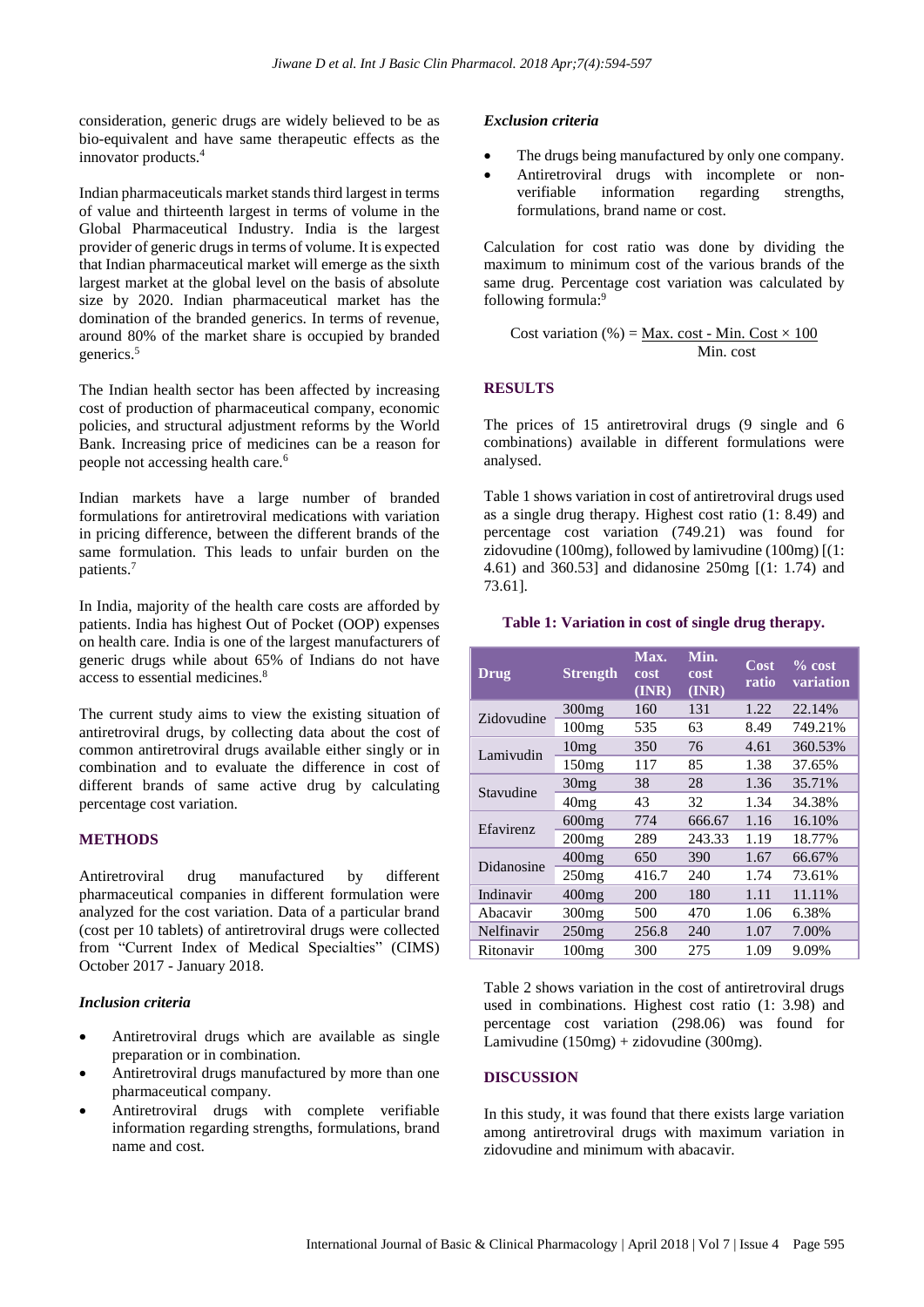consideration, generic drugs are widely believed to be as bio-equivalent and have same therapeutic effects as the innovator products.<sup>4</sup>

Indian pharmaceuticals market stands third largest in terms of value and thirteenth largest in terms of volume in the Global Pharmaceutical Industry. India is the largest provider of generic drugs in terms of volume. It is expected that Indian pharmaceutical market will emerge as the sixth largest market at the global level on the basis of absolute size by 2020. Indian pharmaceutical market has the domination of the branded generics. In terms of revenue, around 80% of the market share is occupied by branded generics.<sup>5</sup>

The Indian health sector has been affected by increasing cost of production of pharmaceutical company, economic policies, and structural adjustment reforms by the World Bank. Increasing price of medicines can be a reason for people not accessing health care.<sup>6</sup>

Indian markets have a large number of branded formulations for antiretroviral medications with variation in pricing difference, between the different brands of the same formulation. This leads to unfair burden on the patients.<sup>7</sup>

In India, majority of the health care costs are afforded by patients. India has highest Out of Pocket (OOP) expenses on health care. India is one of the largest manufacturers of generic drugs while about 65% of Indians do not have access to essential medicines.<sup>8</sup>

The current study aims to view the existing situation of antiretroviral drugs, by collecting data about the cost of common antiretroviral drugs available either singly or in combination and to evaluate the difference in cost of different brands of same active drug by calculating percentage cost variation.

#### **METHODS**

Antiretroviral drug manufactured by different pharmaceutical companies in different formulation were analyzed for the cost variation. Data of a particular brand (cost per 10 tablets) of antiretroviral drugs were collected from "Current Index of Medical Specialties" (CIMS) October 2017 - January 2018.

#### *Inclusion criteria*

- Antiretroviral drugs which are available as single preparation or in combination.
- Antiretroviral drugs manufactured by more than one pharmaceutical company.
- Antiretroviral drugs with complete verifiable information regarding strengths, formulations, brand name and cost.

#### *Exclusion criteria*

- The drugs being manufactured by only one company.
- Antiretroviral drugs with incomplete or nonverifiable information regarding strengths, formulations, brand name or cost.

Calculation for cost ratio was done by dividing the maximum to minimum cost of the various brands of the same drug. Percentage cost variation was calculated by following formula: 9

Cost variation (
$$
\% = \frac{\text{Max. cost} - \text{Min. Cost} \times 100}{\text{Min. cost}}
$$

#### **RESULTS**

The prices of 15 antiretroviral drugs (9 single and 6 combinations) available in different formulations were analysed.

Table 1 shows variation in cost of antiretroviral drugs used as a single drug therapy. Highest cost ratio (1: 8.49) and percentage cost variation (749.21) was found for zidovudine (100mg), followed by lamivudine (100mg) [(1: 4.61) and 360.53] and didanosine 250mg [(1: 1.74) and 73.61].

#### **Table 1: Variation in cost of single drug therapy.**

| <b>Drug</b>      | <b>Strength</b>   | Max.<br>cost<br>(INR) | Min.<br>cost<br>(INR) | $\overline{\text{Cost}}$<br>ratio | $% \cos t$<br>variation |
|------------------|-------------------|-----------------------|-----------------------|-----------------------------------|-------------------------|
| Zidovudine       | 300 <sub>mg</sub> | 160                   | 131                   | 1.22                              | 22.14%                  |
|                  | 100mg             | 535                   | 63                    | 8.49                              | 749.21%                 |
| Lamivudin        | 10mg              | 350                   | 76                    | 4.61                              | 360.53%                 |
|                  | 150mg             | 117                   | 85                    | 1.38                              | 37.65%                  |
| Stavudine        | 30mg              | 38                    | 28                    | 1.36                              | 35.71%                  |
|                  | 40mg              | 43                    | 32                    | 1.34                              | 34.38%                  |
| <b>Efavirenz</b> | 600mg             | 774                   | 666.67                | 1.16                              | 16.10%                  |
|                  | 200mg             | 289                   | 243.33                | 1.19                              | 18.77%                  |
| Didanosine       | 400mg             | 650                   | 390                   | 1.67                              | 66.67%                  |
|                  | 250mg             | 416.7                 | 240                   | 1.74                              | 73.61%                  |
| Indinavir        | $400$ mg          | 200                   | 180                   | 1.11                              | 11.11%                  |
| Abacavir         | 300mg             | 500                   | 470                   | 1.06                              | 6.38%                   |
| Nelfinavir       | 250mg             | 256.8                 | 240                   | 1.07                              | 7.00%                   |
| Ritonavir        | 100mg             | 300                   | 275                   | 1.09                              | 9.09%                   |

Table 2 shows variation in the cost of antiretroviral drugs used in combinations. Highest cost ratio (1: 3.98) and percentage cost variation (298.06) was found for Lamivudine (150mg) + zidovudine (300mg).

#### **DISCUSSION**

In this study, it was found that there exists large variation among antiretroviral drugs with maximum variation in zidovudine and minimum with abacavir.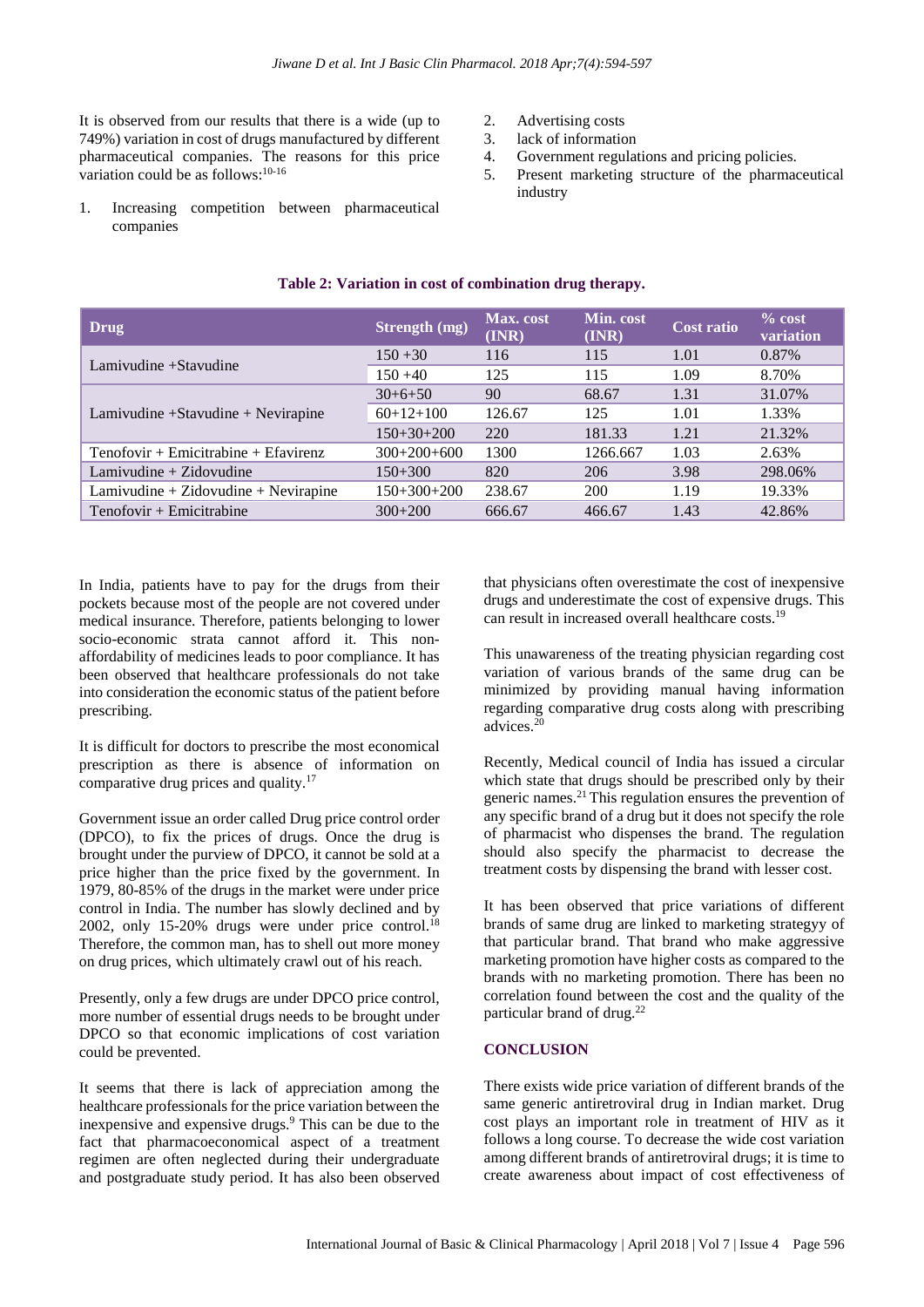It is observed from our results that there is a wide (up to 749%) variation in cost of drugs manufactured by different pharmaceutical companies. The reasons for this price variation could be as follows:<sup>10-16</sup>

- 2. Advertising costs
- 3. lack of information
- 4. Government regulations and pricing policies.
- 5. Present marketing structure of the pharmaceutical industry
- 1. Increasing competition between pharmaceutical companies

| Drug                                   | Strength (mg) | Max. cost<br>(INR) | Min. cost<br>(INR) | <b>Cost ratio</b> | $\%$ cost<br>variation |
|----------------------------------------|---------------|--------------------|--------------------|-------------------|------------------------|
| Lamivudine +Stavudine                  | $150 + 30$    | 116                | 115                | 1.01              | 0.87%                  |
|                                        | $150 + 40$    | 125                | 115                | 1.09              | 8.70%                  |
|                                        | $30+6+50$     | 90                 | 68.67              | 1.31              | 31.07%                 |
| Lamivudine +Stavudine + Nevirapine     | $60+12+100$   | 126.67             | 125                | 1.01              | 1.33%                  |
|                                        | $150+30+200$  | 220                | 181.33             | 1.21              | 21.32%                 |
| $Tenofovir + Emicitrahine + Efavirenz$ | $300+200+600$ | 1300               | 1266.667           | 1.03              | 2.63%                  |
| Lamivudine $+$ Zidovudine              | $150+300$     | 820                | 206                | 3.98              | 298.06%                |
| $Lamivudine + Zidovudine + Nevirapine$ | $150+300+200$ | 238.67             | 200                | 1.19              | 19.33%                 |
| Tenofovir + Emicitrabine               | $300+200$     | 666.67             | 466.67             | 1.43              | 42.86%                 |

#### **Table 2: Variation in cost of combination drug therapy.**

In India, patients have to pay for the drugs from their pockets because most of the people are not covered under medical insurance. Therefore, patients belonging to lower socio-economic strata cannot afford it. This nonaffordability of medicines leads to poor compliance. It has been observed that healthcare professionals do not take into consideration the economic status of the patient before prescribing.

It is difficult for doctors to prescribe the most economical prescription as there is absence of information on comparative drug prices and quality.<sup>17</sup>

Government issue an order called Drug price control order (DPCO), to fix the prices of drugs. Once the drug is brought under the purview of DPCO, it cannot be sold at a price higher than the price fixed by the government. In 1979, 80-85% of the drugs in the market were under price control in India. The number has slowly declined and by 2002, only 15-20% drugs were under price control.<sup>18</sup> Therefore, the common man, has to shell out more money on drug prices, which ultimately crawl out of his reach.

Presently, only a few drugs are under DPCO price control, more number of essential drugs needs to be brought under DPCO so that economic implications of cost variation could be prevented.

It seems that there is lack of appreciation among the healthcare professionals for the price variation between the inexpensive and expensive drugs.<sup>9</sup> This can be due to the fact that pharmacoeconomical aspect of a treatment regimen are often neglected during their undergraduate and postgraduate study period. It has also been observed that physicians often overestimate the cost of inexpensive drugs and underestimate the cost of expensive drugs. This can result in increased overall healthcare costs.<sup>19</sup>

This unawareness of the treating physician regarding cost variation of various brands of the same drug can be minimized by providing manual having information regarding comparative drug costs along with prescribing advices. 20

Recently, Medical council of India has issued a circular which state that drugs should be prescribed only by their generic names.<sup>21</sup> This regulation ensures the prevention of any specific brand of a drug but it does not specify the role of pharmacist who dispenses the brand. The regulation should also specify the pharmacist to decrease the treatment costs by dispensing the brand with lesser cost.

It has been observed that price variations of different brands of same drug are linked to marketing strategyy of that particular brand. That brand who make aggressive marketing promotion have higher costs as compared to the brands with no marketing promotion. There has been no correlation found between the cost and the quality of the particular brand of drug.<sup>22</sup>

#### **CONCLUSION**

There exists wide price variation of different brands of the same generic antiretroviral drug in Indian market. Drug cost plays an important role in treatment of HIV as it follows a long course. To decrease the wide cost variation among different brands of antiretroviral drugs; it is time to create awareness about impact of cost effectiveness of